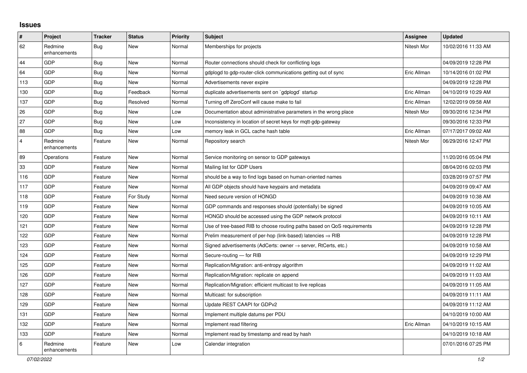## **Issues**

| $\pmb{\#}$ | Project                 | <b>Tracker</b> | <b>Status</b> | <b>Priority</b> | <b>Subject</b>                                                             | <b>Assignee</b> | <b>Updated</b>      |
|------------|-------------------------|----------------|---------------|-----------------|----------------------------------------------------------------------------|-----------------|---------------------|
| 62         | Redmine<br>enhancements | <b>Bug</b>     | New           | Normal          | Memberships for projects                                                   | Nitesh Mor      | 10/02/2016 11:33 AM |
| 44         | GDP                     | <b>Bug</b>     | <b>New</b>    | Normal          | Router connections should check for conflicting logs                       |                 | 04/09/2019 12:28 PM |
| 64         | GDP                     | <b>Bug</b>     | <b>New</b>    | Normal          | gdplogd to gdp-router-click communications getting out of sync             | Eric Allman     | 10/14/2016 01:02 PM |
| 113        | GDP                     | Bug            | <b>New</b>    | Normal          | Advertisements never expire                                                |                 | 04/09/2019 12:28 PM |
| 130        | GDP                     | <b>Bug</b>     | Feedback      | Normal          | duplicate advertisements sent on `gdplogd` startup                         | Eric Allman     | 04/10/2019 10:29 AM |
| 137        | GDP                     | Bug            | Resolved      | Normal          | Turning off ZeroConf will cause make to fail                               | Eric Allman     | 12/02/2019 09:58 AM |
| 26         | GDP                     | Bug            | <b>New</b>    | Low             | Documentation about administrative parameters in the wrong place           | Nitesh Mor      | 09/30/2016 12:34 PM |
| 27         | GDP                     | <b>Bug</b>     | <b>New</b>    | Low             | Inconsistency in location of secret keys for mqtt-gdp-gateway              |                 | 09/30/2016 12:33 PM |
| 88         | GDP                     | <b>Bug</b>     | <b>New</b>    | Low             | memory leak in GCL cache hash table                                        | Eric Allman     | 07/17/2017 09:02 AM |
| 4          | Redmine<br>enhancements | Feature        | <b>New</b>    | Normal          | Repository search                                                          | Nitesh Mor      | 06/29/2016 12:47 PM |
| 89         | Operations              | Feature        | <b>New</b>    | Normal          | Service monitoring on sensor to GDP gateways                               |                 | 11/20/2016 05:04 PM |
| 33         | GDP                     | Feature        | <b>New</b>    | Normal          | Mailing list for GDP Users                                                 |                 | 08/04/2016 02:03 PM |
| 116        | GDP                     | Feature        | <b>New</b>    | Normal          | should be a way to find logs based on human-oriented names                 |                 | 03/28/2019 07:57 PM |
| 117        | GDP                     | Feature        | <b>New</b>    | Normal          | All GDP objects should have keypairs and metadata                          |                 | 04/09/2019 09:47 AM |
| 118        | GDP                     | Feature        | For Study     | Normal          | Need secure version of HONGD                                               |                 | 04/09/2019 10:38 AM |
| 119        | GDP                     | Feature        | <b>New</b>    | Normal          | GDP commands and responses should (potentially) be signed                  |                 | 04/09/2019 10:05 AM |
| 120        | GDP                     | Feature        | <b>New</b>    | Normal          | HONGD should be accessed using the GDP network protocol                    |                 | 04/09/2019 10:11 AM |
| 121        | GDP                     | Feature        | <b>New</b>    | Normal          | Use of tree-based RIB to choose routing paths based on QoS requirements    |                 | 04/09/2019 12:28 PM |
| 122        | GDP                     | Feature        | <b>New</b>    | Normal          | Prelim measurement of per-hop (link-based) latencies $\Rightarrow$ RIB     |                 | 04/09/2019 12:28 PM |
| 123        | GDP                     | Feature        | <b>New</b>    | Normal          | Signed advertisements (AdCerts: owner $\rightarrow$ server, RtCerts, etc.) |                 | 04/09/2019 10:58 AM |
| 124        | GDP                     | Feature        | <b>New</b>    | Normal          | Secure-routing - for RIB                                                   |                 | 04/09/2019 12:29 PM |
| 125        | GDP                     | Feature        | New           | Normal          | Replication/Migration: anti-entropy algorithm                              |                 | 04/09/2019 11:02 AM |
| 126        | GDP                     | Feature        | <b>New</b>    | Normal          | Replication/Migration: replicate on append                                 |                 | 04/09/2019 11:03 AM |
| 127        | GDP                     | Feature        | <b>New</b>    | Normal          | Replication/Migration: efficient multicast to live replicas                |                 | 04/09/2019 11:05 AM |
| 128        | GDP                     | Feature        | New           | Normal          | Multicast: for subscription                                                |                 | 04/09/2019 11:11 AM |
| 129        | GDP                     | Feature        | <b>New</b>    | Normal          | Update REST CAAPI for GDPv2                                                |                 | 04/09/2019 11:12 AM |
| 131        | GDP                     | Feature        | <b>New</b>    | Normal          | Implement multiple datums per PDU                                          |                 | 04/10/2019 10:00 AM |
| 132        | GDP                     | Feature        | <b>New</b>    | Normal          | Implement read filtering                                                   | Eric Allman     | 04/10/2019 10:15 AM |
| 133        | GDP                     | Feature        | New           | Normal          | Implement read by timestamp and read by hash                               |                 | 04/10/2019 10:18 AM |
| 6          | Redmine<br>enhancements | Feature        | <b>New</b>    | Low             | Calendar integration                                                       |                 | 07/01/2016 07:25 PM |